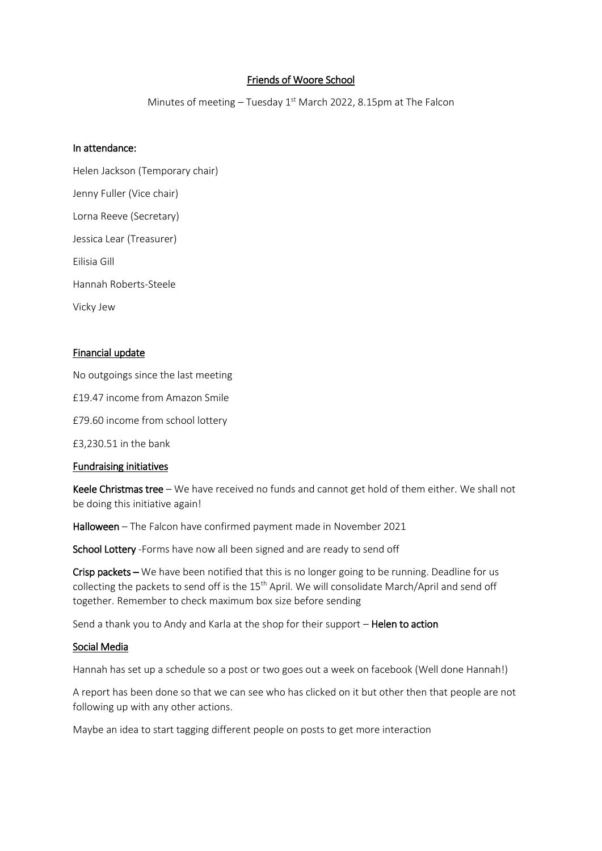# Friends of Woore School

Minutes of meeting  $-$  Tuesday 1st March 2022, 8.15pm at The Falcon

## In attendance:

Helen Jackson (Temporary chair) Jenny Fuller (Vice chair) Lorna Reeve (Secretary) Jessica Lear (Treasurer) Eilisia Gill Hannah Roberts-Steele Vicky Jew

## Financial update

No outgoings since the last meeting

£19.47 income from Amazon Smile

£79.60 income from school lottery

£3,230.51 in the bank

## Fundraising initiatives

Keele Christmas tree – We have received no funds and cannot get hold of them either. We shall not be doing this initiative again!

Halloween – The Falcon have confirmed payment made in November 2021

School Lottery -Forms have now all been signed and are ready to send off

Crisp packets – We have been notified that this is no longer going to be running. Deadline for us collecting the packets to send off is the 15<sup>th</sup> April. We will consolidate March/April and send off together. Remember to check maximum box size before sending

Send a thank you to Andy and Karla at the shop for their support - Helen to action

#### Social Media

Hannah has set up a schedule so a post or two goes out a week on facebook (Well done Hannah!)

A report has been done so that we can see who has clicked on it but other then that people are not following up with any other actions.

Maybe an idea to start tagging different people on posts to get more interaction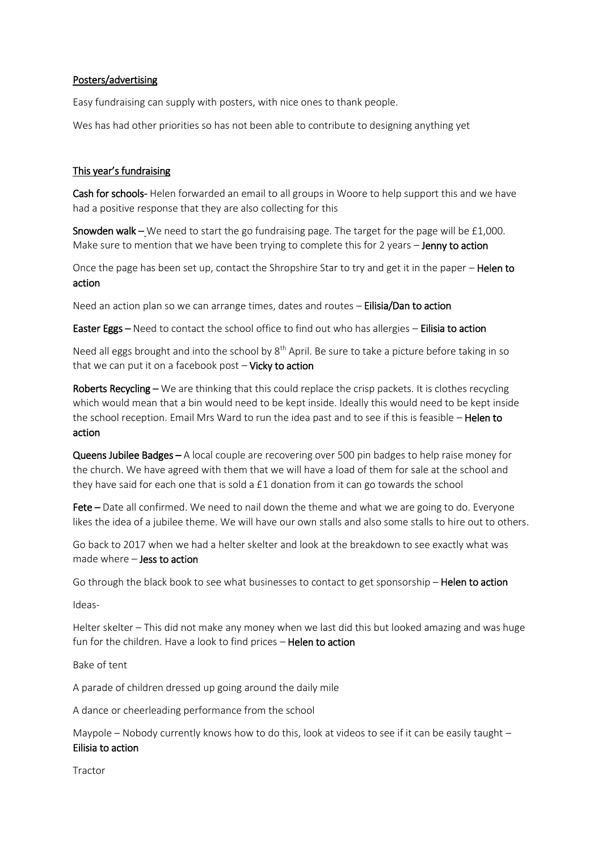# Posters/advertising

Easy fundraising can supply with posters, with nice ones to thank people.

Wes has had other priorities so has not been able to contribute to designing anything yet

# This year's fundraising

Cash for schools- Helen forwarded an email to all groups in Woore to help support this and we have had a positive response that they are also collecting for this

Snowden walk – We need to start the go fundraising page. The target for the page will be £1,000. Make sure to mention that we have been trying to complete this for 2 years - Jenny to action

Once the page has been set up, contact the Shropshire Star to try and get it in the paper – **Helen to** action

Need an action plan so we can arrange times, dates and routes – Eilisia/Dan to action

Easter Eggs – Need to contact the school office to find out who has allergies – Eilisia to action

Need all eggs brought and into the school by 8<sup>th</sup> April. Be sure to take a picture before taking in so that we can put it on a facebook post  $-$  Vicky to action

Roberts Recycling – We are thinking that this could replace the crisp packets. It is clothes recycling which would mean that a bin would need to be kept inside. Ideally this would need to be kept inside the school reception. Email Mrs Ward to run the idea past and to see if this is feasible - Helen to action

Queens Jubilee Badges – A local couple are recovering over 500 pin badges to help raise money for the church. We have agreed with them that we will have a load of them for sale at the school and they have said for each one that is sold a £1 donation from it can go towards the school

Fete – Date all confirmed. We need to nail down the theme and what we are going to do. Everyone likes the idea of a jubilee theme. We will have our own stalls and also some stalls to hire out to others.

Go back to 2017 when we had a helter skelter and look at the breakdown to see exactly what was made where – Jess to action

Go through the black book to see what businesses to contact to get sponsorship - Helen to action

Ideas-

Helter skelter – This did not make any money when we last did this but looked amazing and was huge fun for the children. Have a look to find prices - Helen to action

Bake of tent

A parade of children dressed up going around the daily mile

A dance or cheerleading performance from the school

Maypole – Nobody currently knows how to do this, look at videos to see if it can be easily taught – Eilisia to action

Tractor